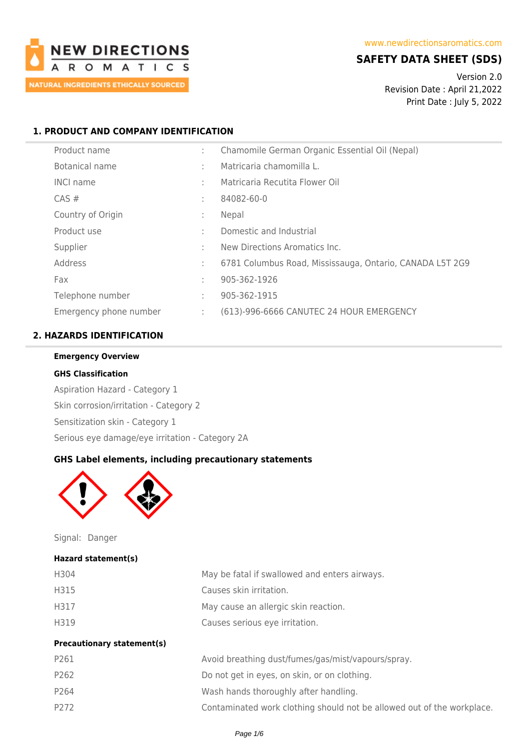

# **SAFETY DATA SHEET (SDS)**

Version 2.0 Revision Date : April 21,2022 Print Date : July 5, 2022

## **1. PRODUCT AND COMPANY IDENTIFICATION**

| Product name           |              | Chamomile German Organic Essential Oil (Nepal)           |
|------------------------|--------------|----------------------------------------------------------|
| Botanical name         |              | Matricaria chamomilla L.                                 |
| <b>INCI name</b>       | ٠            | Matricaria Recutita Flower Oil                           |
| $CAS \#$               | ÷            | 84082-60-0                                               |
| Country of Origin      | $\mathbf{r}$ | <b>Nepal</b>                                             |
| Product use            |              | Domestic and Industrial                                  |
| Supplier               | t.           | New Directions Aromatics Inc.                            |
| Address                | ÷            | 6781 Columbus Road, Mississauga, Ontario, CANADA L5T 2G9 |
| Fax                    | ÷            | 905-362-1926                                             |
| Telephone number       | ÷            | 905-362-1915                                             |
| Emergency phone number | ÷            | (613)-996-6666 CANUTEC 24 HOUR EMERGENCY                 |

## **2. HAZARDS IDENTIFICATION**

### **Emergency Overview**

#### **GHS Classification**

Aspiration Hazard - Category 1 Skin corrosion/irritation - Category 2 Sensitization skin - Category 1 Serious eye damage/eye irritation - Category 2A

### **GHS Label elements, including precautionary statements**



Signal: Danger

#### **Hazard statement(s)**

| <b>Precautionary statement(s)</b> |                                               |
|-----------------------------------|-----------------------------------------------|
| H319                              | Causes serious eye irritation.                |
| H317                              | May cause an allergic skin reaction.          |
| H315                              | Causes skin irritation.                       |
| H304                              | May be fatal if swallowed and enters airways. |

| P261             | Avoid breathing dust/fumes/gas/mist/vapours/spray.                     |
|------------------|------------------------------------------------------------------------|
| P <sub>262</sub> | Do not get in eyes, on skin, or on clothing.                           |
| P <sub>264</sub> | Wash hands thoroughly after handling.                                  |
| P <sub>272</sub> | Contaminated work clothing should not be allowed out of the workplace. |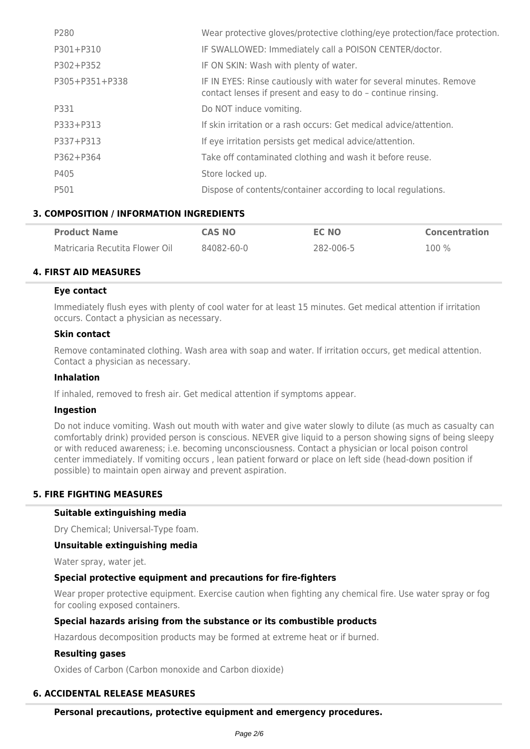| P280           | Wear protective gloves/protective clothing/eye protection/face protection.                                                          |
|----------------|-------------------------------------------------------------------------------------------------------------------------------------|
| P301+P310      | IF SWALLOWED: Immediately call a POISON CENTER/doctor.                                                                              |
| P302+P352      | IF ON SKIN: Wash with plenty of water.                                                                                              |
| P305+P351+P338 | IF IN EYES: Rinse cautiously with water for several minutes. Remove<br>contact lenses if present and easy to do - continue rinsing. |
| P331           | Do NOT induce vomiting.                                                                                                             |
| P333+P313      | If skin irritation or a rash occurs: Get medical advice/attention.                                                                  |
| P337+P313      | If eye irritation persists get medical advice/attention.                                                                            |
| P362+P364      | Take off contaminated clothing and wash it before reuse.                                                                            |
| P405           | Store locked up.                                                                                                                    |
| P501           | Dispose of contents/container according to local regulations.                                                                       |

### **3. COMPOSITION / INFORMATION INGREDIENTS**

| <b>Product Name</b>            | <b>CAS NO</b> | EC NO     | <b>Concentration</b> |
|--------------------------------|---------------|-----------|----------------------|
| Matricaria Recutita Flower Oil | 84082-60-0    | 282-006-5 | 100 %                |

## **4. FIRST AID MEASURES**

### **Eye contact**

Immediately flush eyes with plenty of cool water for at least 15 minutes. Get medical attention if irritation occurs. Contact a physician as necessary.

#### **Skin contact**

Remove contaminated clothing. Wash area with soap and water. If irritation occurs, get medical attention. Contact a physician as necessary.

#### **Inhalation**

If inhaled, removed to fresh air. Get medical attention if symptoms appear.

### **Ingestion**

Do not induce vomiting. Wash out mouth with water and give water slowly to dilute (as much as casualty can comfortably drink) provided person is conscious. NEVER give liquid to a person showing signs of being sleepy or with reduced awareness; i.e. becoming unconsciousness. Contact a physician or local poison control center immediately. If vomiting occurs , lean patient forward or place on left side (head-down position if possible) to maintain open airway and prevent aspiration.

### **5. FIRE FIGHTING MEASURES**

#### **Suitable extinguishing media**

Dry Chemical; Universal-Type foam.

#### **Unsuitable extinguishing media**

Water spray, water jet.

### **Special protective equipment and precautions for fire-fighters**

Wear proper protective equipment. Exercise caution when fighting any chemical fire. Use water spray or fog for cooling exposed containers.

### **Special hazards arising from the substance or its combustible products**

Hazardous decomposition products may be formed at extreme heat or if burned.

#### **Resulting gases**

Oxides of Carbon (Carbon monoxide and Carbon dioxide)

#### **6. ACCIDENTAL RELEASE MEASURES**

**Personal precautions, protective equipment and emergency procedures.**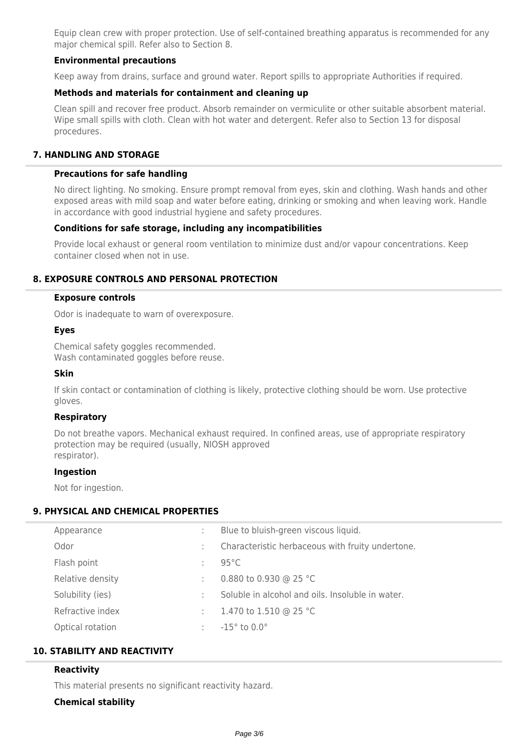Equip clean crew with proper protection. Use of self-contained breathing apparatus is recommended for any major chemical spill. Refer also to Section 8.

## **Environmental precautions**

Keep away from drains, surface and ground water. Report spills to appropriate Authorities if required.

## **Methods and materials for containment and cleaning up**

Clean spill and recover free product. Absorb remainder on vermiculite or other suitable absorbent material. Wipe small spills with cloth. Clean with hot water and detergent. Refer also to Section 13 for disposal procedures.

### **7. HANDLING AND STORAGE**

### **Precautions for safe handling**

No direct lighting. No smoking. Ensure prompt removal from eyes, skin and clothing. Wash hands and other exposed areas with mild soap and water before eating, drinking or smoking and when leaving work. Handle in accordance with good industrial hygiene and safety procedures.

### **Conditions for safe storage, including any incompatibilities**

Provide local exhaust or general room ventilation to minimize dust and/or vapour concentrations. Keep container closed when not in use.

## **8. EXPOSURE CONTROLS AND PERSONAL PROTECTION**

#### **Exposure controls**

Odor is inadequate to warn of overexposure.

#### **Eyes**

Chemical safety goggles recommended. Wash contaminated goggles before reuse.

#### **Skin**

If skin contact or contamination of clothing is likely, protective clothing should be worn. Use protective gloves.

### **Respiratory**

Do not breathe vapors. Mechanical exhaust required. In confined areas, use of appropriate respiratory protection may be required (usually, NIOSH approved respirator).

#### **Ingestion**

Not for ingestion.

#### **9. PHYSICAL AND CHEMICAL PROPERTIES**

| Appearance       | Blue to bluish-green viscous liquid.             |
|------------------|--------------------------------------------------|
| Odor             | Characteristic herbaceous with fruity undertone. |
| Flash point      | $95^{\circ}$ C                                   |
| Relative density | 0.880 to 0.930 @ 25 °C                           |
| Solubility (ies) | Soluble in alcohol and oils. Insoluble in water. |
| Refractive index | 1.470 to 1.510 @ 25 °C                           |
| Optical rotation | $-15^\circ$ to $0.0^\circ$                       |

# **10. STABILITY AND REACTIVITY**

### **Reactivity**

This material presents no significant reactivity hazard.

#### **Chemical stability**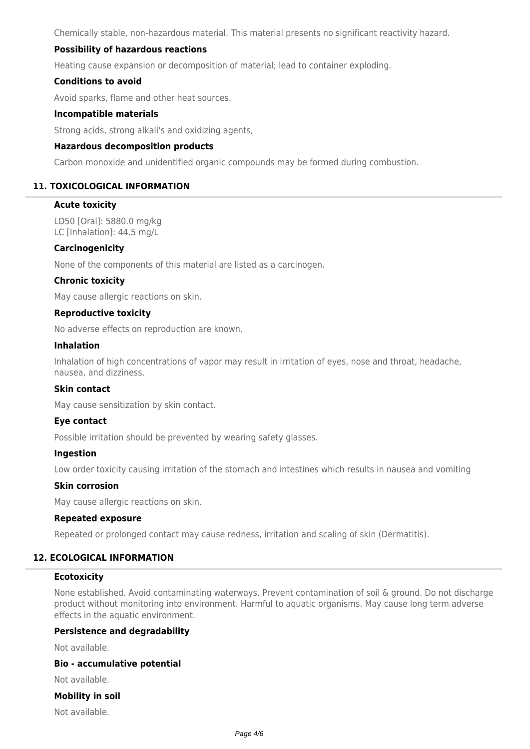Chemically stable, non-hazardous material. This material presents no significant reactivity hazard.

## **Possibility of hazardous reactions**

Heating cause expansion or decomposition of material; lead to container exploding.

## **Conditions to avoid**

Avoid sparks, flame and other heat sources.

## **Incompatible materials**

Strong acids, strong alkali's and oxidizing agents,

## **Hazardous decomposition products**

Carbon monoxide and unidentified organic compounds may be formed during combustion.

# **11. TOXICOLOGICAL INFORMATION**

### **Acute toxicity**

LD50 [Oral]: 5880.0 mg/kg LC [Inhalation]: 44.5 mg/L

## **Carcinogenicity**

None of the components of this material are listed as a carcinogen.

## **Chronic toxicity**

May cause allergic reactions on skin.

### **Reproductive toxicity**

No adverse effects on reproduction are known.

### **Inhalation**

Inhalation of high concentrations of vapor may result in irritation of eyes, nose and throat, headache, nausea, and dizziness.

### **Skin contact**

May cause sensitization by skin contact.

### **Eye contact**

Possible irritation should be prevented by wearing safety glasses.

### **Ingestion**

Low order toxicity causing irritation of the stomach and intestines which results in nausea and vomiting

### **Skin corrosion**

May cause allergic reactions on skin.

### **Repeated exposure**

Repeated or prolonged contact may cause redness, irritation and scaling of skin (Dermatitis).

### **12. ECOLOGICAL INFORMATION**

### **Ecotoxicity**

None established. Avoid contaminating waterways. Prevent contamination of soil & ground. Do not discharge product without monitoring into environment. Harmful to aquatic organisms. May cause long term adverse effects in the aquatic environment.

### **Persistence and degradability**

Not available.

### **Bio - accumulative potential**

Not available.

### **Mobility in soil**

Not available.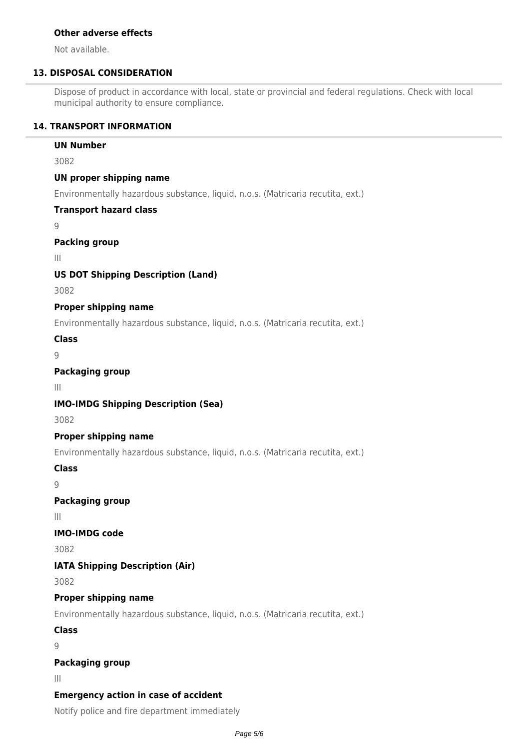## **Other adverse effects**

Not available.

# **13. DISPOSAL CONSIDERATION**

Dispose of product in accordance with local, state or provincial and federal regulations. Check with local municipal authority to ensure compliance.

## **14. TRANSPORT INFORMATION**

## **UN Number**

3082

## **UN proper shipping name**

Environmentally hazardous substance, liquid, n.o.s. (Matricaria recutita, ext.)

### **Transport hazard class**

 $\overline{Q}$ 

## **Packing group**

III

# **US DOT Shipping Description (Land)**

3082

# **Proper shipping name**

Environmentally hazardous substance, liquid, n.o.s. (Matricaria recutita, ext.)

**Class**

9

# **Packaging group**

III

# **IMO-IMDG Shipping Description (Sea)**

3082

# **Proper shipping name**

Environmentally hazardous substance, liquid, n.o.s. (Matricaria recutita, ext.)

**Class**

9

# **Packaging group**

III

# **IMO-IMDG code**

3082

# **IATA Shipping Description (Air)**

3082

# **Proper shipping name**

Environmentally hazardous substance, liquid, n.o.s. (Matricaria recutita, ext.)

### **Class**

9

# **Packaging group**

III

# **Emergency action in case of accident**

Notify police and fire department immediately